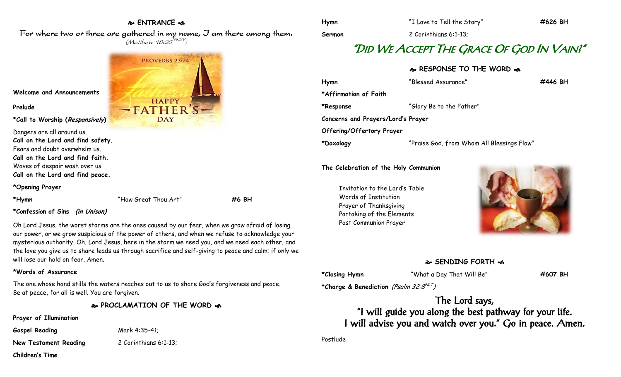# **ENTRANCE**  For where two or three are gathered in my name, I am there among them.  $(M$ atthew 18:20 $^{NRSV})$

**PROVERBS 23:24 HAPPY FATHER DAY** 

**Welcome and Announcements**

#### **Prelude**

**\*Call to Worship (Responsively)** 

Dangers are all around us. **Call on the Lord and find safety.** Fears and doubt overwhelm us. **Call on the Lord and find faith.** Waves of despair wash over us. **Call on the Lord and find peace.**

#### **\*Opening Prayer**

**\*Hymn** "How Great Thou Art" **#6 BH**

#### **\*Confession of Sins (in Unison)**

Oh Lord Jesus, the worst storms are the ones caused by our fear, when we grow afraid of losing our power, or we grow suspicious of the power of others, and when we refuse to acknowledge your mysterious authority. Oh, Lord Jesus, here in the storm we need you, and we need each other, and the love you give us to share leads us through sacrifice and self-giving to peace and calm; if only we will lose our hold on fear. Amen.

#### **\*Words of Assurance**

The one whose hand stills the waters reaches out to us to share God's forgiveness and peace. Be at peace, for all is well. You are forgiven.

## **PROCLAMATION OF THE WORD**

#### **Prayer of Illumination**

**Gospel Reading** Mark 4:35-41;

**New Testament Reading** 2 Corinthians 6:1-13;

**Children's Time**

**Hymn** "I Love to Tell the Story" **#626 BH Sermon** 2 Corinthians 6:1-13;

# "DID WE ACCEPT THE GRACE OF GOD IN VAIN?"

### **RESPONSE TO THE WORD**

| Hymn                               | "Blessed Assurance"                        | #446 BH |
|------------------------------------|--------------------------------------------|---------|
| *Affirmation of Faith              |                                            |         |
| *Response                          | "Glory Be to the Father"                   |         |
| Concerns and Prayers/Lord's Prayer |                                            |         |
| Offering/Offertory Prayer          |                                            |         |
| *Doxology                          | "Praise God, from Whom All Blessings Flow" |         |

#### **The Celebration of the Holy Communion**

Invitation to the Lord's Table Words of Institution Prayer of Thanksgiving Partaking of the Elements Post Communion Prayer



# **SENDING FORTH**

**\*Closing Hymn** "What a Day That Will Be" **#607 BH**

**\*Charge & Benediction** (Psalm 32:8 NLT )

The Lord says, "I will guide you along the best pathway for your life. I will advise you and watch over you." Go in peace. Amen.